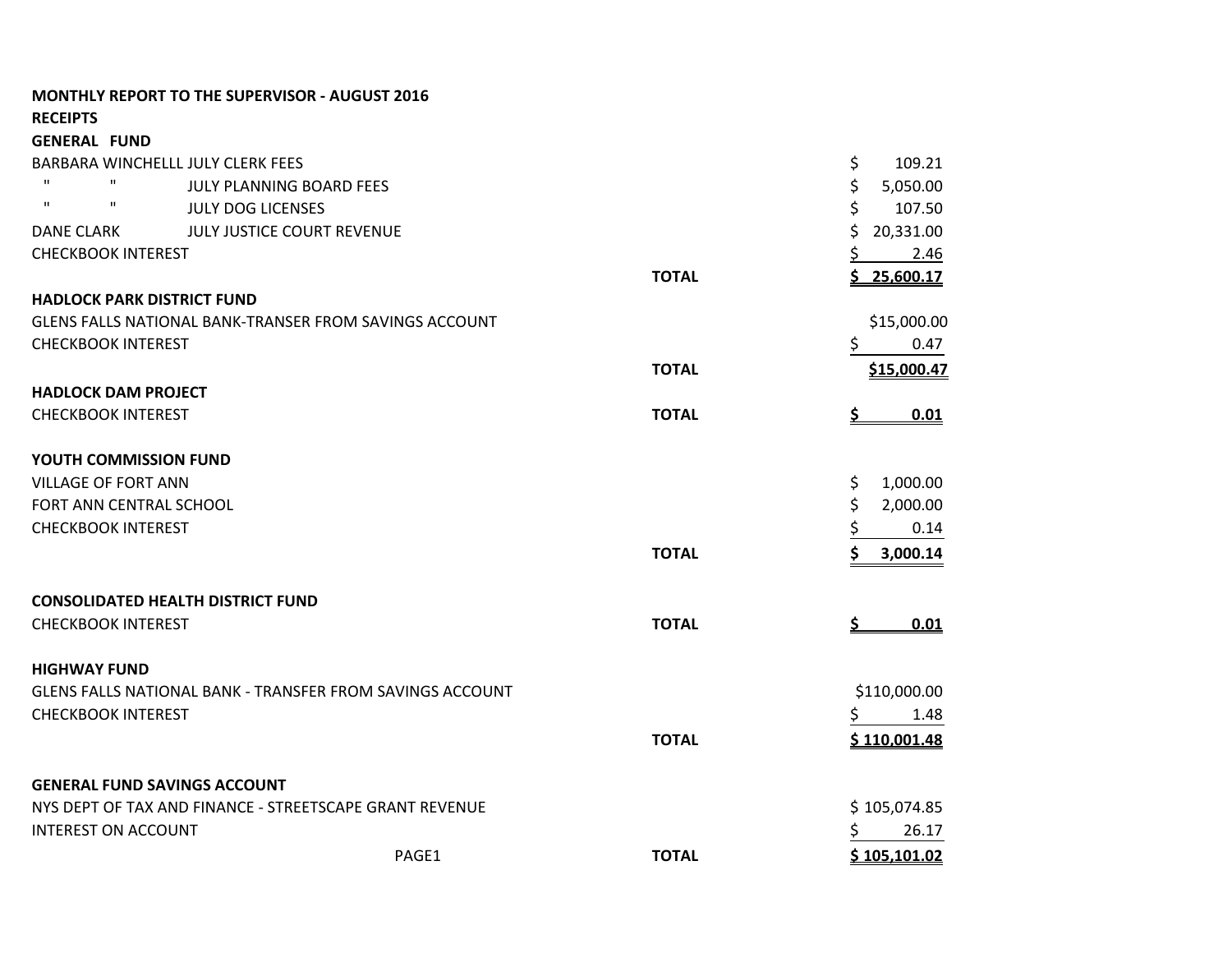|                                          | <b>MONTHLY REPORT TO THE SUPERVISOR - AUGUST 2016</b>            |              |                  |
|------------------------------------------|------------------------------------------------------------------|--------------|------------------|
| <b>RECEIPTS</b>                          |                                                                  |              |                  |
| <b>GENERAL FUND</b>                      |                                                                  |              |                  |
| BARBARA WINCHELLL JULY CLERK FEES        |                                                                  |              | \$<br>109.21     |
| п<br>$\mathbf{H}$                        | JULY PLANNING BOARD FEES                                         |              | \$<br>5,050.00   |
| $\mathbf{H}$<br>$\mathbf{u}$             | <b>JULY DOG LICENSES</b>                                         |              | \$<br>107.50     |
| <b>DANE CLARK</b>                        | JULY JUSTICE COURT REVENUE                                       |              | \$<br>20,331.00  |
| <b>CHECKBOOK INTEREST</b>                |                                                                  |              | 2.46<br>Ş        |
|                                          |                                                                  | <b>TOTAL</b> | 25,600.17<br>S.  |
| <b>HADLOCK PARK DISTRICT FUND</b>        |                                                                  |              |                  |
|                                          | GLENS FALLS NATIONAL BANK-TRANSER FROM SAVINGS ACCOUNT           |              | \$15,000.00      |
| <b>CHECKBOOK INTEREST</b>                |                                                                  |              | \$<br>0.47       |
|                                          |                                                                  | <b>TOTAL</b> | \$15,000.47      |
| <b>HADLOCK DAM PROJECT</b>               |                                                                  |              |                  |
| <b>CHECKBOOK INTEREST</b>                |                                                                  | <b>TOTAL</b> | 0.01<br><u>s</u> |
| <b>YOUTH COMMISSION FUND</b>             |                                                                  |              |                  |
| <b>VILLAGE OF FORT ANN</b>               |                                                                  |              | \$<br>1,000.00   |
| FORT ANN CENTRAL SCHOOL                  |                                                                  |              | \$<br>2,000.00   |
| <b>CHECKBOOK INTEREST</b>                |                                                                  |              | \$<br>0.14       |
|                                          |                                                                  | <b>TOTAL</b> | 3,000.14         |
| <b>CONSOLIDATED HEALTH DISTRICT FUND</b> |                                                                  |              |                  |
| <b>CHECKBOOK INTEREST</b>                |                                                                  | <b>TOTAL</b> | 0.01<br><u>s</u> |
| <b>HIGHWAY FUND</b>                      |                                                                  |              |                  |
|                                          | <b>GLENS FALLS NATIONAL BANK - TRANSFER FROM SAVINGS ACCOUNT</b> |              | \$110,000.00     |
| <b>CHECKBOOK INTEREST</b>                |                                                                  |              | 1.48             |
|                                          |                                                                  | <b>TOTAL</b> | \$110,001.48     |
| <b>GENERAL FUND SAVINGS ACCOUNT</b>      |                                                                  |              |                  |
|                                          | NYS DEPT OF TAX AND FINANCE - STREETSCAPE GRANT REVENUE          |              | \$105,074.85     |
| <b>INTEREST ON ACCOUNT</b>               |                                                                  |              | \$<br>26.17      |
|                                          | PAGE1                                                            | <b>TOTAL</b> | \$105,101.02     |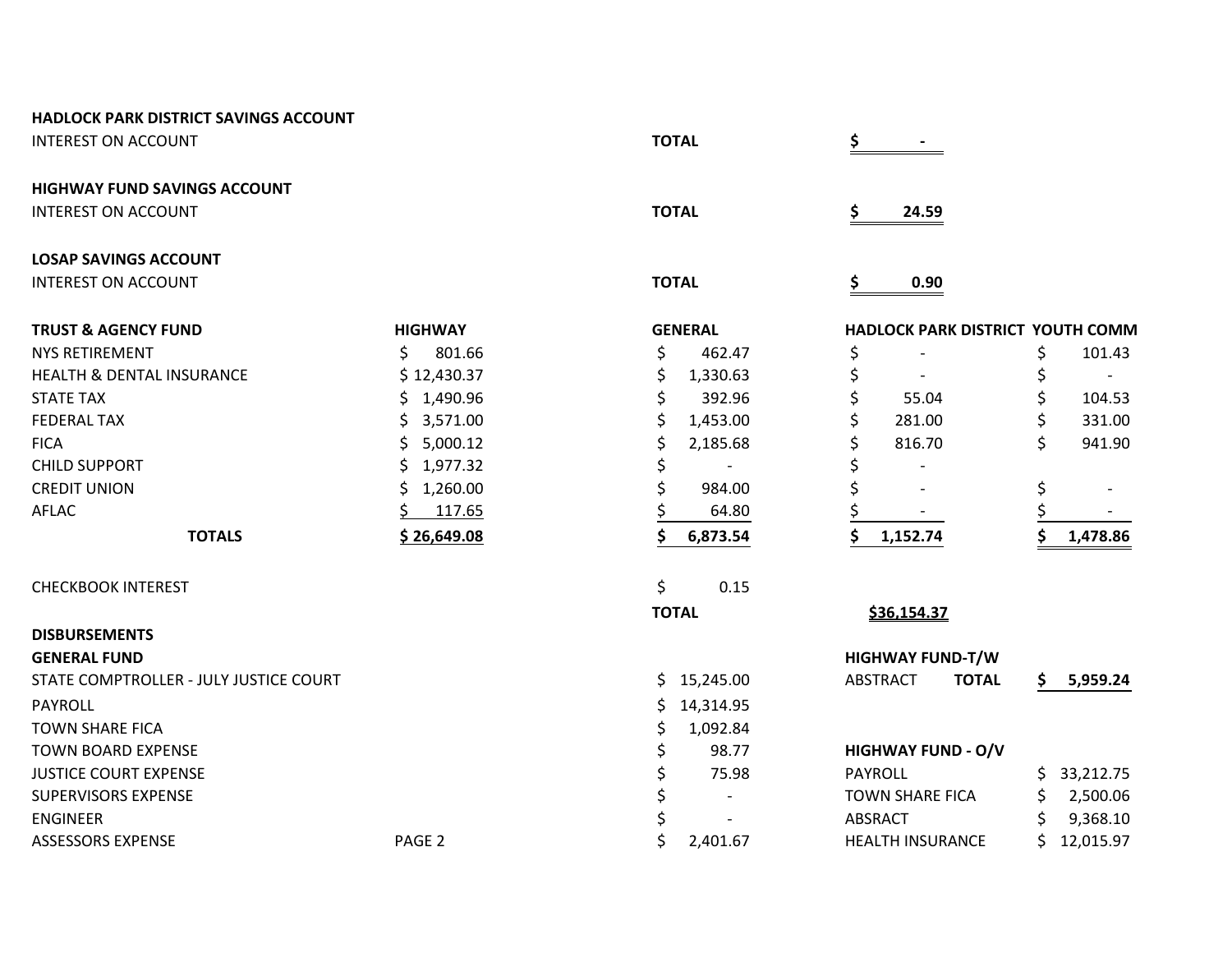| <b>HADLOCK PARK DISTRICT SAVINGS ACCOUNT</b> |                   |                 |    |                                  |     |             |
|----------------------------------------------|-------------------|-----------------|----|----------------------------------|-----|-------------|
| <b>INTEREST ON ACCOUNT</b>                   |                   | <b>TOTAL</b>    | \$ |                                  |     |             |
| <b>HIGHWAY FUND SAVINGS ACCOUNT</b>          |                   |                 |    |                                  |     |             |
| <b>INTEREST ON ACCOUNT</b>                   |                   | <b>TOTAL</b>    | \$ | 24.59                            |     |             |
| <b>LOSAP SAVINGS ACCOUNT</b>                 |                   |                 |    |                                  |     |             |
| <b>INTEREST ON ACCOUNT</b>                   |                   | <b>TOTAL</b>    | \$ | 0.90                             |     |             |
| <b>TRUST &amp; AGENCY FUND</b>               | <b>HIGHWAY</b>    | <b>GENERAL</b>  |    | HADLOCK PARK DISTRICT YOUTH COMM |     |             |
| <b>NYS RETIREMENT</b>                        | \$<br>801.66      | \$<br>462.47    | \$ |                                  | \$  | 101.43      |
| <b>HEALTH &amp; DENTAL INSURANCE</b>         | \$12,430.37       | \$<br>1,330.63  | \$ |                                  | \$  |             |
| <b>STATE TAX</b>                             | \$1,490.96        | \$<br>392.96    | \$ | 55.04                            | \$  | 104.53      |
| <b>FEDERAL TAX</b>                           | 3,571.00<br>S.    | \$<br>1,453.00  | \$ | 281.00                           | \$  | 331.00      |
| <b>FICA</b>                                  | 5,000.12<br>S.    | \$<br>2,185.68  | \$ | 816.70                           | \$  | 941.90      |
| <b>CHILD SUPPORT</b>                         | 1,977.32<br>\$.   | \$              |    |                                  |     |             |
| <b>CREDIT UNION</b>                          | \$<br>1,260.00    | \$<br>984.00    |    |                                  | \$  |             |
| <b>AFLAC</b>                                 | 117.65            | 64.80           |    |                                  |     |             |
| <b>TOTALS</b>                                | \$26,649.08       | 6,873.54        | Ś  | 1,152.74                         |     | 1,478.86    |
| <b>CHECKBOOK INTEREST</b>                    |                   | \$<br>0.15      |    |                                  |     |             |
|                                              |                   | <b>TOTAL</b>    |    | \$36,154.37                      |     |             |
| <b>DISBURSEMENTS</b>                         |                   |                 |    |                                  |     |             |
| <b>GENERAL FUND</b>                          |                   |                 |    | <b>HIGHWAY FUND-T/W</b>          |     |             |
| STATE COMPTROLLER - JULY JUSTICE COURT       |                   | \$15,245.00     |    | <b>ABSTRACT</b><br><b>TOTAL</b>  | \$. | 5,959.24    |
| PAYROLL                                      |                   | \$<br>14,314.95 |    |                                  |     |             |
| <b>TOWN SHARE FICA</b>                       |                   | \$<br>1,092.84  |    |                                  |     |             |
| <b>TOWN BOARD EXPENSE</b>                    |                   | \$<br>98.77     |    | <b>HIGHWAY FUND - O/V</b>        |     |             |
| <b>JUSTICE COURT EXPENSE</b>                 |                   | \$<br>75.98     |    | <b>PAYROLL</b>                   | S.  | 33,212.75   |
| <b>SUPERVISORS EXPENSE</b>                   |                   | \$              |    | <b>TOWN SHARE FICA</b>           | \$  | 2,500.06    |
| <b>ENGINEER</b>                              |                   | \$              |    | <b>ABSRACT</b>                   | \$  | 9,368.10    |
| <b>ASSESSORS EXPENSE</b>                     | PAGE <sub>2</sub> | \$<br>2,401.67  |    | <b>HEALTH INSURANCE</b>          |     | \$12,015.97 |
|                                              |                   |                 |    |                                  |     |             |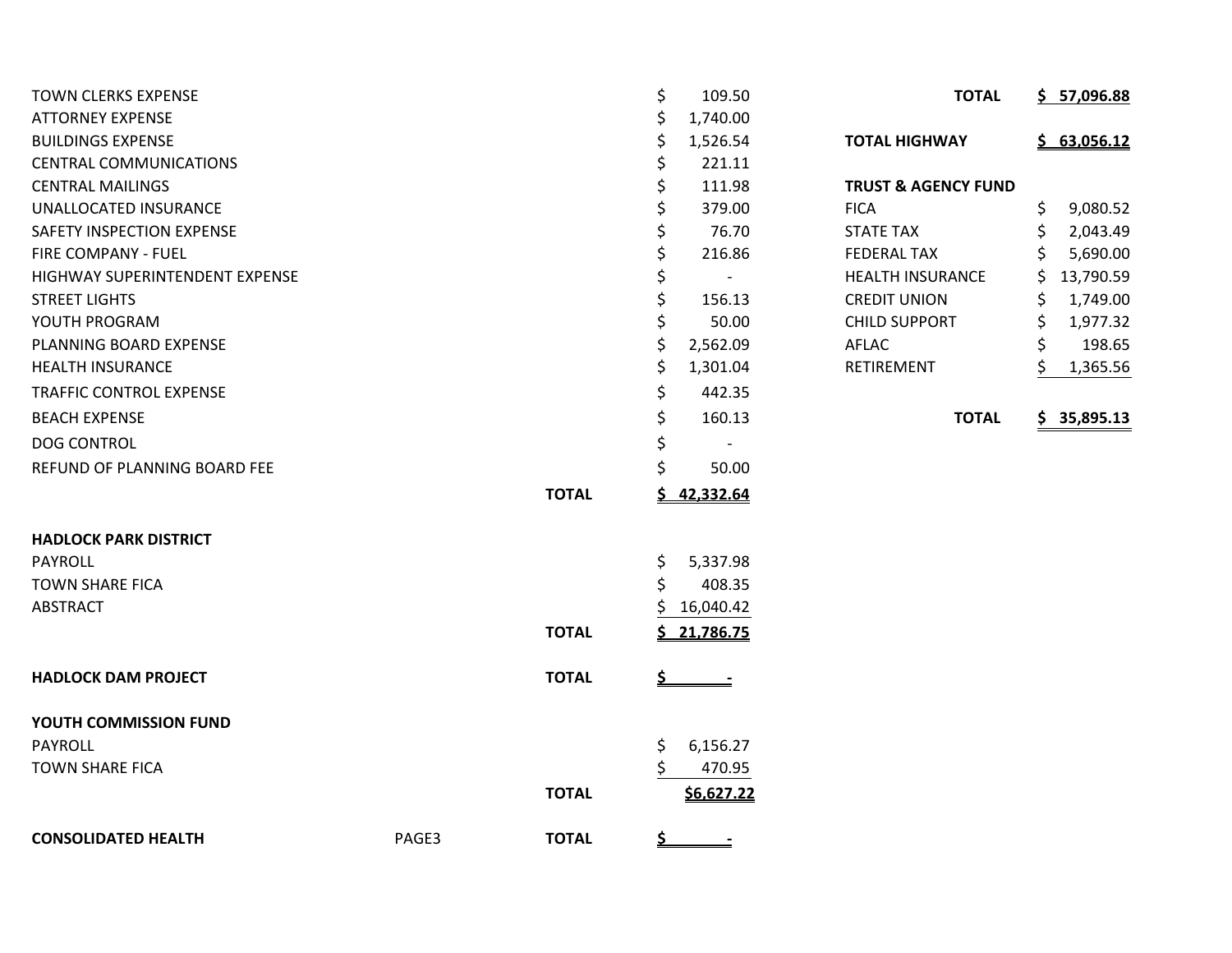| <b>TOWN CLERKS EXPENSE</b>     |       |              | \$        | 109.50         | <b>TOTAL</b>                   | \$57,096.88     |
|--------------------------------|-------|--------------|-----------|----------------|--------------------------------|-----------------|
| <b>ATTORNEY EXPENSE</b>        |       |              | \$        | 1,740.00       |                                |                 |
| <b>BUILDINGS EXPENSE</b>       |       |              | \$        | 1,526.54       | <b>TOTAL HIGHWAY</b>           | \$63,056.12     |
| <b>CENTRAL COMMUNICATIONS</b>  |       |              | \$        | 221.11         |                                |                 |
| <b>CENTRAL MAILINGS</b>        |       |              | \$        | 111.98         | <b>TRUST &amp; AGENCY FUND</b> |                 |
| UNALLOCATED INSURANCE          |       |              |           | 379.00         | <b>FICA</b>                    | \$<br>9,080.52  |
| SAFETY INSPECTION EXPENSE      |       |              |           | 76.70          | <b>STATE TAX</b>               | \$<br>2,043.49  |
| FIRE COMPANY - FUEL            |       |              | \$        | 216.86         | <b>FEDERAL TAX</b>             | \$<br>5,690.00  |
| HIGHWAY SUPERINTENDENT EXPENSE |       |              | \$        | $\blacksquare$ | <b>HEALTH INSURANCE</b>        | \$<br>13,790.59 |
| <b>STREET LIGHTS</b>           |       |              | \$        | 156.13         | <b>CREDIT UNION</b>            | 1,749.00<br>Ś   |
| YOUTH PROGRAM                  |       |              |           | 50.00          | <b>CHILD SUPPORT</b>           | \$<br>1,977.32  |
| PLANNING BOARD EXPENSE         |       |              | \$        | 2,562.09       | AFLAC                          | \$<br>198.65    |
| <b>HEALTH INSURANCE</b>        |       |              | \$        | 1,301.04       | RETIREMENT                     | \$<br>1,365.56  |
| <b>TRAFFIC CONTROL EXPENSE</b> |       |              | \$        | 442.35         |                                |                 |
| <b>BEACH EXPENSE</b>           |       |              | \$        | 160.13         | <b>TOTAL</b>                   | \$35,895.13     |
| <b>DOG CONTROL</b>             |       |              | \$        |                |                                |                 |
| REFUND OF PLANNING BOARD FEE   |       |              |           | 50.00          |                                |                 |
|                                |       | <b>TOTAL</b> | S.        | 42,332.64      |                                |                 |
| <b>HADLOCK PARK DISTRICT</b>   |       |              |           |                |                                |                 |
| <b>PAYROLL</b>                 |       |              | \$        | 5,337.98       |                                |                 |
| <b>TOWN SHARE FICA</b>         |       |              | \$        | 408.35         |                                |                 |
| <b>ABSTRACT</b>                |       |              |           | 16,040.42      |                                |                 |
|                                |       | <b>TOTAL</b> |           | 21,786.75      |                                |                 |
| <b>HADLOCK DAM PROJECT</b>     |       | <b>TOTAL</b> | \$        | $\equiv$       |                                |                 |
| YOUTH COMMISSION FUND          |       |              |           |                |                                |                 |
| PAYROLL                        |       |              | \$        | 6,156.27       |                                |                 |
| <b>TOWN SHARE FICA</b>         |       |              | \$        | 470.95         |                                |                 |
|                                |       | <b>TOTAL</b> |           | \$6,627.22     |                                |                 |
| <b>CONSOLIDATED HEALTH</b>     | PAGE3 | <b>TOTAL</b> | <u>\$</u> |                |                                |                 |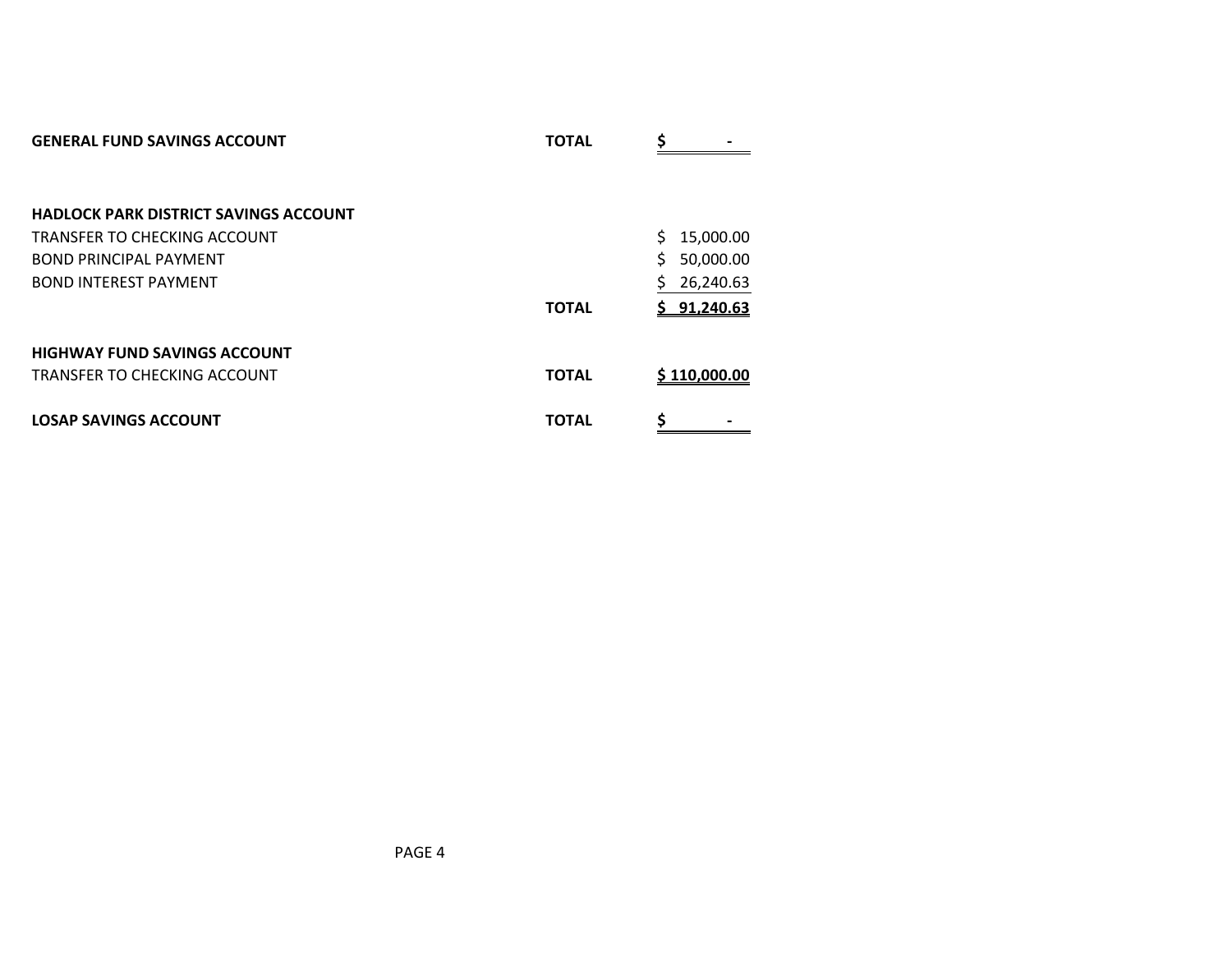| <b>GENERAL FUND SAVINGS ACCOUNT</b>          | <b>TOTAL</b> | Ś<br>$\qquad \qquad \blacksquare$ |
|----------------------------------------------|--------------|-----------------------------------|
|                                              |              |                                   |
|                                              |              |                                   |
| <b>HADLOCK PARK DISTRICT SAVINGS ACCOUNT</b> |              |                                   |
| TRANSFER TO CHECKING ACCOUNT                 |              | Ś<br>15,000.00                    |
| <b>BOND PRINCIPAL PAYMENT</b>                |              | \$<br>50,000.00                   |
| <b>BOND INTEREST PAYMENT</b>                 |              | Ś<br>26,240.63                    |
|                                              | <b>TOTAL</b> | \$91,240.63                       |
|                                              |              |                                   |
| <b>HIGHWAY FUND SAVINGS ACCOUNT</b>          |              |                                   |
| TRANSFER TO CHECKING ACCOUNT                 | <b>TOTAL</b> | \$110,000.00                      |
| <b>LOSAP SAVINGS ACCOUNT</b>                 | <b>TOTAL</b> | \$                                |